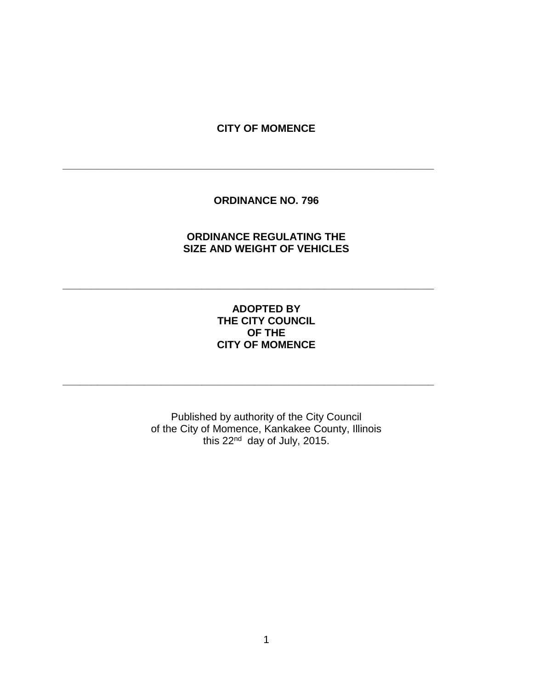### **CITY OF MOMENCE**

**\_\_\_\_\_\_\_\_\_\_\_\_\_\_\_\_\_\_\_\_\_\_\_\_\_\_\_\_\_\_\_\_\_\_\_\_\_\_\_\_\_\_\_\_\_\_\_\_\_\_\_\_\_\_\_\_\_\_\_\_\_\_\_\_**

**\_\_\_\_\_\_\_\_\_\_\_\_\_\_\_\_\_\_\_\_\_\_\_\_\_\_\_\_\_\_\_\_\_\_\_\_\_\_\_\_\_\_\_\_\_\_\_\_\_\_\_\_\_\_\_\_\_\_\_\_\_\_\_\_**

**\_\_\_\_\_\_\_\_\_\_\_\_\_\_\_\_\_\_\_\_\_\_\_\_\_\_\_\_\_\_\_\_\_\_\_\_\_\_\_\_\_\_\_\_\_\_\_\_\_\_\_\_\_\_\_\_\_\_\_\_\_\_\_\_**

### **ORDINANCE NO. 796**

# **ORDINANCE REGULATING THE SIZE AND WEIGHT OF VEHICLES**

## **ADOPTED BY THE CITY COUNCIL OF THE CITY OF MOMENCE**

Published by authority of the City Council of the City of Momence, Kankakee County, Illinois this 22nd day of July, 2015.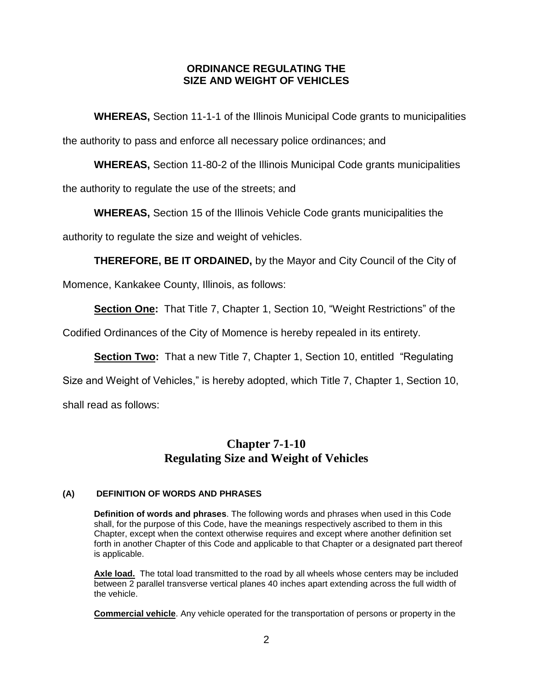### **ORDINANCE REGULATING THE SIZE AND WEIGHT OF VEHICLES**

**WHEREAS,** Section 11-1-1 of the Illinois Municipal Code grants to municipalities the authority to pass and enforce all necessary police ordinances; and

**WHEREAS,** Section 11-80-2 of the Illinois Municipal Code grants municipalities

the authority to regulate the use of the streets; and

**WHEREAS,** Section 15 of the Illinois Vehicle Code grants municipalities the authority to regulate the size and weight of vehicles.

**THEREFORE, BE IT ORDAINED,** by the Mayor and City Council of the City of

Momence, Kankakee County, Illinois, as follows:

**Section One:** That Title 7, Chapter 1, Section 10, "Weight Restrictions" of the

Codified Ordinances of the City of Momence is hereby repealed in its entirety.

**Section Two:** That a new Title 7, Chapter 1, Section 10, entitled "Regulating

Size and Weight of Vehicles," is hereby adopted, which Title 7, Chapter 1, Section 10,

shall read as follows:

# **Chapter 7-1-10 Regulating Size and Weight of Vehicles**

### **(A) DEFINITION OF WORDS AND PHRASES**

**Definition of words and phrases**. The following words and phrases when used in this Code shall, for the purpose of this Code, have the meanings respectively ascribed to them in this Chapter, except when the context otherwise requires and except where another definition set forth in another Chapter of this Code and applicable to that Chapter or a designated part thereof is applicable.

Axle load. The total load transmitted to the road by all wheels whose centers may be included between 2 parallel transverse vertical planes 40 inches apart extending across the full width of the vehicle.

**Commercial vehicle**. Any vehicle operated for the transportation of persons or property in the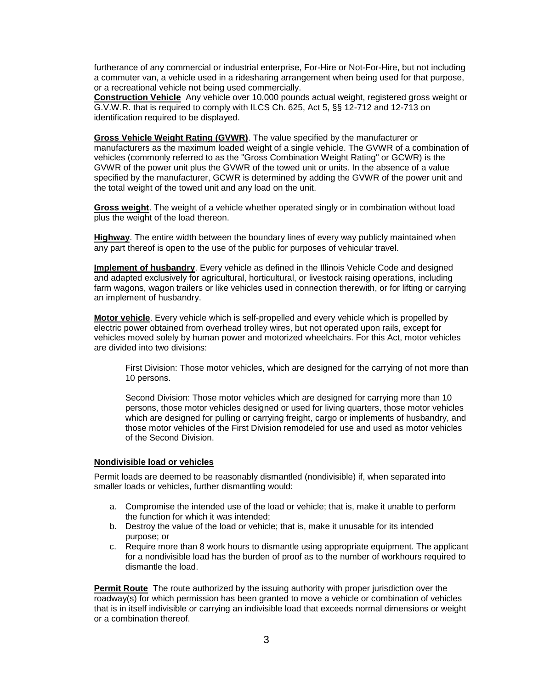furtherance of any commercial or industrial enterprise, For-Hire or Not-For-Hire, but not including a commuter van, a vehicle used in a ridesharing arrangement when being used for that purpose, or a recreational vehicle not being used commercially.

**Construction Vehicle** Any vehicle over 10,000 pounds actual weight, registered gross weight or G.V.W.R. that is required to comply with ILCS Ch. 625, Act 5, §§ 12-712 and 12-713 on identification required to be displayed.

**Gross Vehicle Weight Rating (GVWR)**. The value specified by the manufacturer or manufacturers as the maximum loaded weight of a single vehicle. The GVWR of a combination of vehicles (commonly referred to as the "Gross Combination Weight Rating" or GCWR) is the GVWR of the power unit plus the GVWR of the towed unit or units. In the absence of a value specified by the manufacturer, GCWR is determined by adding the GVWR of the power unit and the total weight of the towed unit and any load on the unit.

**Gross weight**. The weight of a vehicle whether operated singly or in combination without load plus the weight of the load thereon.

**Highway**. The entire width between the boundary lines of every way publicly maintained when any part thereof is open to the use of the public for purposes of vehicular travel.

**Implement of husbandry**. Every vehicle as defined in the Illinois Vehicle Code and designed and adapted exclusively for agricultural, horticultural, or livestock raising operations, including farm wagons, wagon trailers or like vehicles used in connection therewith, or for lifting or carrying an implement of husbandry.

**Motor vehicle**. Every vehicle which is self-propelled and every vehicle which is propelled by electric power obtained from overhead trolley wires, but not operated upon rails, except for vehicles moved solely by human power and motorized wheelchairs. For this Act, motor vehicles are divided into two divisions:

First Division: Those motor vehicles, which are designed for the carrying of not more than 10 persons.

Second Division: Those motor vehicles which are designed for carrying more than 10 persons, those motor vehicles designed or used for living quarters, those motor vehicles which are designed for pulling or carrying freight, cargo or implements of husbandry, and those motor vehicles of the First Division remodeled for use and used as motor vehicles of the Second Division.

#### **Nondivisible load or vehicles**

Permit loads are deemed to be reasonably dismantled (nondivisible) if, when separated into smaller loads or vehicles, further dismantling would:

- a. Compromise the intended use of the load or vehicle; that is, make it unable to perform the function for which it was intended;
- b. Destroy the value of the load or vehicle; that is, make it unusable for its intended purpose; or
- c. Require more than 8 work hours to dismantle using appropriate equipment. The applicant for a nondivisible load has the burden of proof as to the number of workhours required to dismantle the load.

**Permit Route** The route authorized by the issuing authority with proper jurisdiction over the roadway(s) for which permission has been granted to move a vehicle or combination of vehicles that is in itself indivisible or carrying an indivisible load that exceeds normal dimensions or weight or a combination thereof.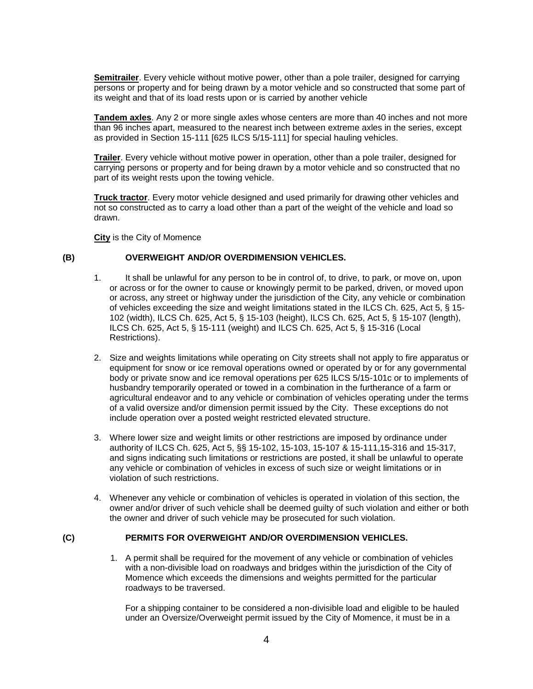**Semitrailer**. Every vehicle without motive power, other than a pole trailer, designed for carrying persons or property and for being drawn by a motor vehicle and so constructed that some part of its weight and that of its load rests upon or is carried by another vehicle

**Tandem axles**. Any 2 or more single axles whose centers are more than 40 inches and not more than 96 inches apart, measured to the nearest inch between extreme axles in the series, except as provided in Section 15-111 [625 ILCS 5/15-111] for special hauling vehicles.

**Trailer**. Every vehicle without motive power in operation, other than a pole trailer, designed for carrying persons or property and for being drawn by a motor vehicle and so constructed that no part of its weight rests upon the towing vehicle.

**Truck tractor**. Every motor vehicle designed and used primarily for drawing other vehicles and not so constructed as to carry a load other than a part of the weight of the vehicle and load so drawn.

**City** is the City of Momence

#### **(B) OVERWEIGHT AND/OR OVERDIMENSION VEHICLES.**

- 1. It shall be unlawful for any person to be in control of, to drive, to park, or move on, upon or across or for the owner to cause or knowingly permit to be parked, driven, or moved upon or across, any street or highway under the jurisdiction of the City, any vehicle or combination of vehicles exceeding the size and weight limitations stated in the ILCS Ch. 625, Act 5, § 15- 102 (width), ILCS Ch. 625, Act 5, § 15-103 (height), ILCS Ch. 625, Act 5, § 15-107 (length), ILCS Ch. 625, Act 5, § 15-111 (weight) and ILCS Ch. 625, Act 5, § 15-316 (Local Restrictions).
- 2. Size and weights limitations while operating on City streets shall not apply to fire apparatus or equipment for snow or ice removal operations owned or operated by or for any governmental body or private snow and ice removal operations per 625 ILCS 5/15-101c or to implements of husbandry temporarily operated or towed in a combination in the furtherance of a farm or agricultural endeavor and to any vehicle or combination of vehicles operating under the terms of a valid oversize and/or dimension permit issued by the City. These exceptions do not include operation over a posted weight restricted elevated structure.
- 3. Where lower size and weight limits or other restrictions are imposed by ordinance under authority of ILCS Ch. 625, Act 5, §§ 15-102, 15-103, 15-107 & 15-111,15-316 and 15-317, and signs indicating such limitations or restrictions are posted, it shall be unlawful to operate any vehicle or combination of vehicles in excess of such size or weight limitations or in violation of such restrictions.
- 4. Whenever any vehicle or combination of vehicles is operated in violation of this section, the owner and/or driver of such vehicle shall be deemed guilty of such violation and either or both the owner and driver of such vehicle may be prosecuted for such violation.

#### **(C) PERMITS FOR OVERWEIGHT AND/OR OVERDIMENSION VEHICLES.**

1. A permit shall be required for the movement of any vehicle or combination of vehicles with a non-divisible load on roadways and bridges within the jurisdiction of the City of Momence which exceeds the dimensions and weights permitted for the particular roadways to be traversed.

For a shipping container to be considered a non-divisible load and eligible to be hauled under an Oversize/Overweight permit issued by the City of Momence, it must be in a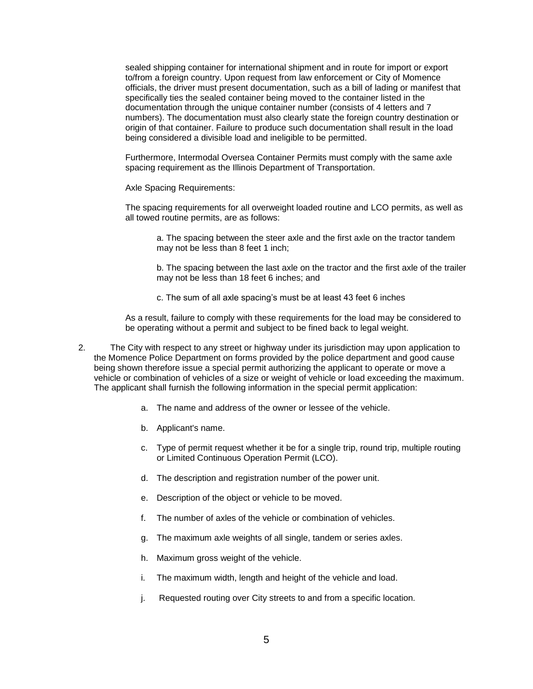sealed shipping container for international shipment and in route for import or export to/from a foreign country. Upon request from law enforcement or City of Momence officials, the driver must present documentation, such as a bill of lading or manifest that specifically ties the sealed container being moved to the container listed in the documentation through the unique container number (consists of 4 letters and 7 numbers). The documentation must also clearly state the foreign country destination or origin of that container. Failure to produce such documentation shall result in the load being considered a divisible load and ineligible to be permitted.

Furthermore, Intermodal Oversea Container Permits must comply with the same axle spacing requirement as the Illinois Department of Transportation.

Axle Spacing Requirements:

The spacing requirements for all overweight loaded routine and LCO permits, as well as all towed routine permits, are as follows:

a. The spacing between the steer axle and the first axle on the tractor tandem may not be less than 8 feet 1 inch;

b. The spacing between the last axle on the tractor and the first axle of the trailer may not be less than 18 feet 6 inches; and

c. The sum of all axle spacing's must be at least 43 feet 6 inches

As a result, failure to comply with these requirements for the load may be considered to be operating without a permit and subject to be fined back to legal weight.

- 2. The City with respect to any street or highway under its jurisdiction may upon application to the Momence Police Department on forms provided by the police department and good cause being shown therefore issue a special permit authorizing the applicant to operate or move a vehicle or combination of vehicles of a size or weight of vehicle or load exceeding the maximum. The applicant shall furnish the following information in the special permit application:
	- a. The name and address of the owner or lessee of the vehicle.
	- b. Applicant's name.
	- c. Type of permit request whether it be for a single trip, round trip, multiple routing or Limited Continuous Operation Permit (LCO).
	- d. The description and registration number of the power unit.
	- e. Description of the object or vehicle to be moved.
	- f. The number of axles of the vehicle or combination of vehicles.
	- g. The maximum axle weights of all single, tandem or series axles.
	- h. Maximum gross weight of the vehicle.
	- i. The maximum width, length and height of the vehicle and load.
	- j. Requested routing over City streets to and from a specific location.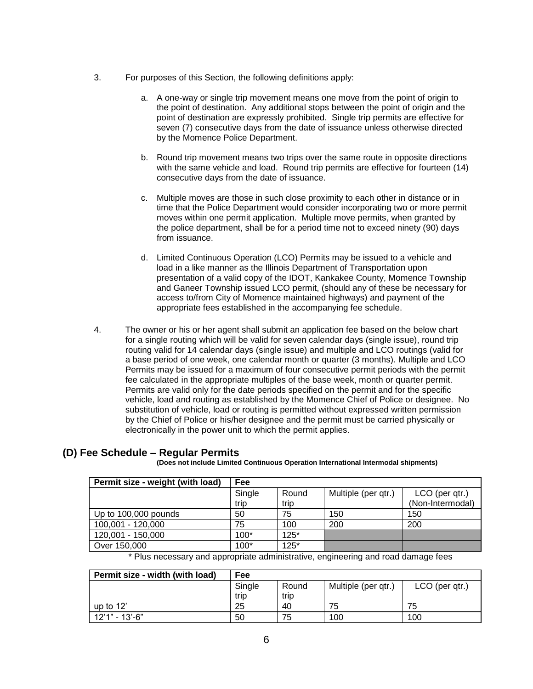- 3. For purposes of this Section, the following definitions apply:
	- a. A one-way or single trip movement means one move from the point of origin to the point of destination. Any additional stops between the point of origin and the point of destination are expressly prohibited. Single trip permits are effective for seven (7) consecutive days from the date of issuance unless otherwise directed by the Momence Police Department.
	- b. Round trip movement means two trips over the same route in opposite directions with the same vehicle and load. Round trip permits are effective for fourteen (14) consecutive days from the date of issuance.
	- c. Multiple moves are those in such close proximity to each other in distance or in time that the Police Department would consider incorporating two or more permit moves within one permit application. Multiple move permits, when granted by the police department, shall be for a period time not to exceed ninety (90) days from issuance.
	- d. Limited Continuous Operation (LCO) Permits may be issued to a vehicle and load in a like manner as the Illinois Department of Transportation upon presentation of a valid copy of the IDOT, Kankakee County, Momence Township and Ganeer Township issued LCO permit, (should any of these be necessary for access to/from City of Momence maintained highways) and payment of the appropriate fees established in the accompanying fee schedule.
- 4. The owner or his or her agent shall submit an application fee based on the below chart for a single routing which will be valid for seven calendar days (single issue), round trip routing valid for 14 calendar days (single issue) and multiple and LCO routings (valid for a base period of one week, one calendar month or quarter (3 months). Multiple and LCO Permits may be issued for a maximum of four consecutive permit periods with the permit fee calculated in the appropriate multiples of the base week, month or quarter permit. Permits are valid only for the date periods specified on the permit and for the specific vehicle, load and routing as established by the Momence Chief of Police or designee. No substitution of vehicle, load or routing is permitted without expressed written permission by the Chief of Police or his/her designee and the permit must be carried physically or electronically in the power unit to which the permit applies.

### **(D) Fee Schedule – Regular Permits**

**(Does not include Limited Continuous Operation International Intermodal shipments)** 

| Permit size - weight (with load) | Fee    |        |                     |                  |
|----------------------------------|--------|--------|---------------------|------------------|
|                                  | Single | Round  | Multiple (per qtr.) | LCO (per qtr.)   |
|                                  | trip   | trip   |                     | (Non-Intermodal) |
| Up to 100,000 pounds             | 50     | 75     | 150                 | 150              |
| 100,001 - 120,000                | 75     | 100    | 200                 | 200              |
| 120,001 - 150,000                | $100*$ | $125*$ |                     |                  |
| Over 150,000                     | $100*$ | $125*$ |                     |                  |

\* Plus necessary and appropriate administrative, engineering and road damage fees

| Permit size - width (with load) | Fee            |               |                     |                |
|---------------------------------|----------------|---------------|---------------------|----------------|
|                                 | Single<br>trip | Round<br>trip | Multiple (per qtr.) | LCO (per qtr.) |
| up to $12'$                     | 25             | 40            | 75                  | 75             |
| 12'1" - 13'-6"                  | 50             | 75            | 100                 | 100            |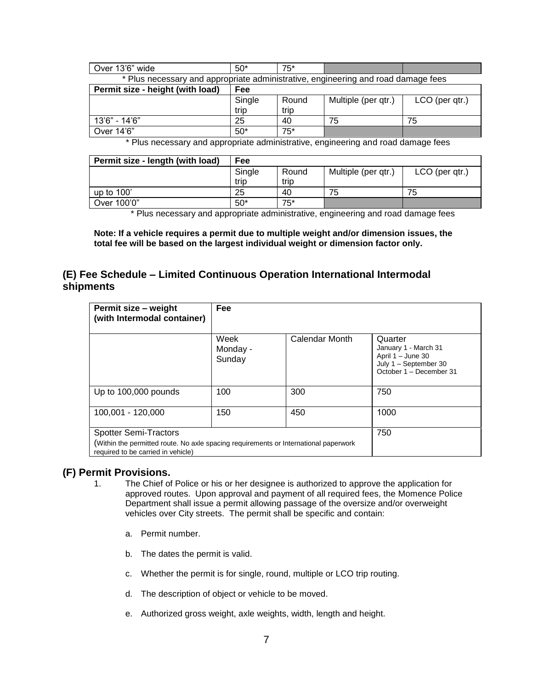| Over 13'6" wide                                                                   | $50*$          | $75*$         |                     |                |  |
|-----------------------------------------------------------------------------------|----------------|---------------|---------------------|----------------|--|
| * Plus necessary and appropriate administrative, engineering and road damage fees |                |               |                     |                |  |
| Permit size - height (with load)<br>Fee                                           |                |               |                     |                |  |
|                                                                                   | Single<br>trip | Round<br>trip | Multiple (per qtr.) | LCO (per qtr.) |  |
| 13'6" - 14'6"                                                                     | 25             | 40            | 75                  | 75             |  |
| Over 14'6"                                                                        | $50*$          | $75*$         |                     |                |  |

\* Plus necessary and appropriate administrative, engineering and road damage fees

| Permit size - length (with load) | Fee    |       |                     |                |
|----------------------------------|--------|-------|---------------------|----------------|
|                                  | Single | Round | Multiple (per qtr.) | LCO (per qtr.) |
|                                  | trip   | trip  |                     |                |
| up to $100'$                     | 25     | 40    | 75                  | 75             |
| Over 100'0"                      | $50*$  | $75*$ |                     |                |

\* Plus necessary and appropriate administrative, engineering and road damage fees

**Note: If a vehicle requires a permit due to multiple weight and/or dimension issues, the total fee will be based on the largest individual weight or dimension factor only.** 

### **(E) Fee Schedule – Limited Continuous Operation International Intermodal shipments**

| Permit size - weight<br>(with Intermodal container)                                                                        | <b>Fee</b>                 |                |                                                                                                          |  |  |
|----------------------------------------------------------------------------------------------------------------------------|----------------------------|----------------|----------------------------------------------------------------------------------------------------------|--|--|
|                                                                                                                            | Week<br>Monday -<br>Sunday | Calendar Month | Quarter<br>January 1 - March 31<br>April 1 - June 30<br>July 1 - September 30<br>October 1 - December 31 |  |  |
| Up to 100,000 pounds                                                                                                       | 100                        | 300            | 750                                                                                                      |  |  |
| 100,001 - 120,000                                                                                                          | 150                        | 450            | 1000                                                                                                     |  |  |
| <b>Spotter Semi-Tractors</b>                                                                                               | 750                        |                |                                                                                                          |  |  |
| (Within the permitted route. No axle spacing requirements or International paperwork<br>required to be carried in vehicle) |                            |                |                                                                                                          |  |  |

### **(F) Permit Provisions.**

- 1. The Chief of Police or his or her designee is authorized to approve the application for approved routes. Upon approval and payment of all required fees, the Momence Police Department shall issue a permit allowing passage of the oversize and/or overweight vehicles over City streets. The permit shall be specific and contain:
	- a. Permit number.
	- b. The dates the permit is valid.
	- c. Whether the permit is for single, round, multiple or LCO trip routing.
	- d. The description of object or vehicle to be moved.
	- e. Authorized gross weight, axle weights, width, length and height.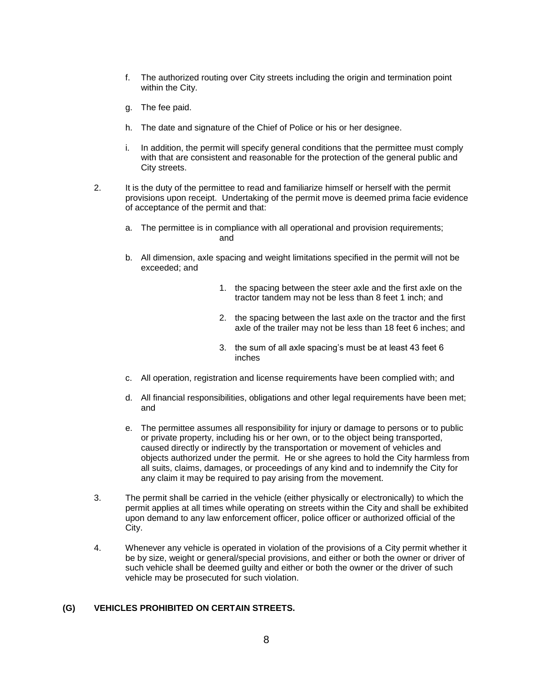- f. The authorized routing over City streets including the origin and termination point within the City.
- g. The fee paid.
- h. The date and signature of the Chief of Police or his or her designee.
- i. In addition, the permit will specify general conditions that the permittee must comply with that are consistent and reasonable for the protection of the general public and City streets.
- 2. It is the duty of the permittee to read and familiarize himself or herself with the permit provisions upon receipt. Undertaking of the permit move is deemed prima facie evidence of acceptance of the permit and that:
	- a. The permittee is in compliance with all operational and provision requirements; and
	- b. All dimension, axle spacing and weight limitations specified in the permit will not be exceeded; and
		- 1. the spacing between the steer axle and the first axle on the tractor tandem may not be less than 8 feet 1 inch; and
		- 2. the spacing between the last axle on the tractor and the first axle of the trailer may not be less than 18 feet 6 inches; and
		- 3. the sum of all axle spacing's must be at least 43 feet 6 inches
	- c. All operation, registration and license requirements have been complied with; and
	- d. All financial responsibilities, obligations and other legal requirements have been met; and
	- e. The permittee assumes all responsibility for injury or damage to persons or to public or private property, including his or her own, or to the object being transported, caused directly or indirectly by the transportation or movement of vehicles and objects authorized under the permit. He or she agrees to hold the City harmless from all suits, claims, damages, or proceedings of any kind and to indemnify the City for any claim it may be required to pay arising from the movement.
- 3. The permit shall be carried in the vehicle (either physically or electronically) to which the permit applies at all times while operating on streets within the City and shall be exhibited upon demand to any law enforcement officer, police officer or authorized official of the City.
- 4. Whenever any vehicle is operated in violation of the provisions of a City permit whether it be by size, weight or general/special provisions, and either or both the owner or driver of such vehicle shall be deemed guilty and either or both the owner or the driver of such vehicle may be prosecuted for such violation.

#### **(G) VEHICLES PROHIBITED ON CERTAIN STREETS.**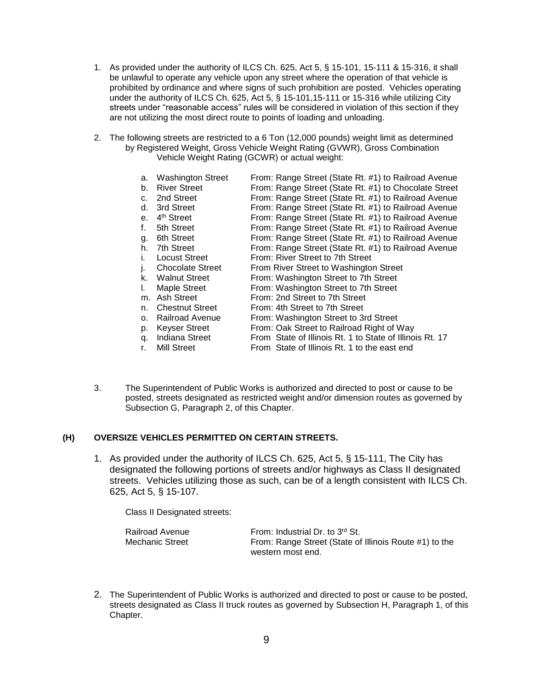- 1. As provided under the authority of ILCS Ch. 625, Act 5, § 15-101, 15-111 & 15-316, it shall be unlawful to operate any vehicle upon any street where the operation of that vehicle is prohibited by ordinance and where signs of such prohibition are posted. Vehicles operating under the authority of ILCS Ch. 625, Act 5, § 15-101,15-111 or 15-316 while utilizing City streets under "reasonable access" rules will be considered in violation of this section if they are not utilizing the most direct route to points of loading and unloading.
- 2. The following streets are restricted to a 6 Ton (12,000 pounds) weight limit as determined by Registered Weight, Gross Vehicle Weight Rating (GVWR), Gross Combination Vehicle Weight Rating (GCWR) or actual weight:

| a.           | <b>Washington Street</b> | From: Range Street (State Rt. #1) to Railroad Avenue     |
|--------------|--------------------------|----------------------------------------------------------|
| b.           | <b>River Street</b>      | From: Range Street (State Rt. #1) to Chocolate Street    |
| c.           | 2nd Street               | From: Range Street (State Rt. #1) to Railroad Avenue     |
| d.           | 3rd Street               | From: Range Street (State Rt. #1) to Railroad Avenue     |
| $e_{1}$      | 4 <sup>th</sup> Street   | From: Range Street (State Rt. #1) to Railroad Avenue     |
| f.           | 5th Street               | From: Range Street (State Rt. #1) to Railroad Avenue     |
| g.           | 6th Street               | From: Range Street (State Rt. #1) to Railroad Avenue     |
| h.           | 7th Street               | From: Range Street (State Rt. #1) to Railroad Avenue     |
| $\mathbf{L}$ | <b>Locust Street</b>     | From: River Street to 7th Street                         |
|              | <b>Chocolate Street</b>  | From River Street to Washington Street                   |
| k.           | <b>Walnut Street</b>     | From: Washington Street to 7th Street                    |
| L.           | Maple Street             | From: Washington Street to 7th Street                    |
| m.           | Ash Street               | From: 2nd Street to 7th Street                           |
| n.           | <b>Chestnut Street</b>   | From: 4th Street to 7th Street                           |
| о.           | <b>Railroad Avenue</b>   | From: Washington Street to 3rd Street                    |
| p.           | <b>Keyser Street</b>     | From: Oak Street to Railroad Right of Way                |
| q.           | <b>Indiana Street</b>    | From State of Illinois Rt. 1 to State of Illinois Rt. 17 |
| r.           | <b>Mill Street</b>       | From State of Illinois Rt. 1 to the east end             |

3. The Superintendent of Public Works is authorized and directed to post or cause to be posted, streets designated as restricted weight and/or dimension routes as governed by Subsection G, Paragraph 2, of this Chapter.

#### **(H) OVERSIZE VEHICLES PERMITTED ON CERTAIN STREETS.**

1. As provided under the authority of ILCS Ch. 625, Act 5, § 15-111, The City has designated the following portions of streets and/or highways as Class II designated streets. Vehicles utilizing those as such, can be of a length consistent with ILCS Ch. 625, Act 5, § 15-107.

Class II Designated streets:

| Railroad Avenue | From: Industrial Dr. to 3rd St.                        |
|-----------------|--------------------------------------------------------|
| Mechanic Street | From: Range Street (State of Illinois Route #1) to the |
|                 | western most end.                                      |

2. The Superintendent of Public Works is authorized and directed to post or cause to be posted, streets designated as Class II truck routes as governed by Subsection H, Paragraph 1, of this Chapter.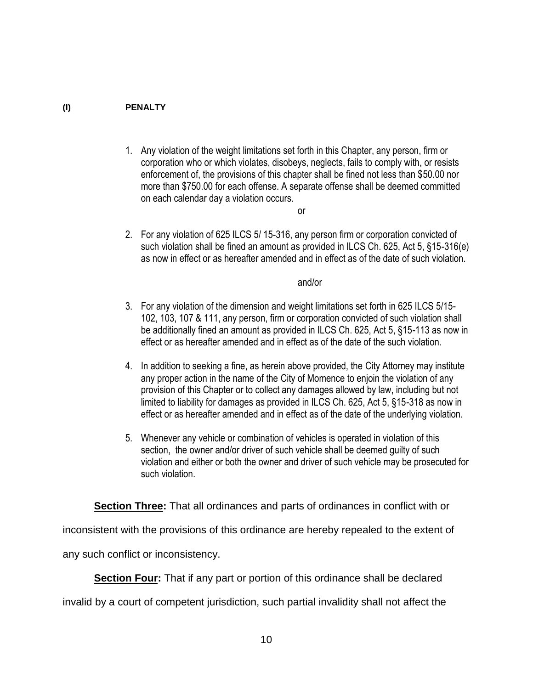### **(I) PENALTY**

- 1. Any violation of the weight limitations set forth in this Chapter, any person, firm or corporation who or which violates, disobeys, neglects, fails to comply with, or resists enforcement of, the provisions of this chapter shall be fined not less than \$50.00 nor more than \$750.00 for each offense. A separate offense shall be deemed committed on each calendar day a violation occurs.
	- or
- 2. For any violation of 625 ILCS 5/ 15-316, any person firm or corporation convicted of such violation shall be fined an amount as provided in ILCS Ch. 625, Act 5, §15-316(e) as now in effect or as hereafter amended and in effect as of the date of such violation.

and/or

- 3. For any violation of the dimension and weight limitations set forth in 625 ILCS 5/15- 102, 103, 107 & 111, any person, firm or corporation convicted of such violation shall be additionally fined an amount as provided in ILCS Ch. 625, Act 5, §15-113 as now in effect or as hereafter amended and in effect as of the date of the such violation.
- 4. In addition to seeking a fine, as herein above provided, the City Attorney may institute any proper action in the name of the City of Momence to enjoin the violation of any provision of this Chapter or to collect any damages allowed by law, including but not limited to liability for damages as provided in ILCS Ch. 625, Act 5, §15-318 as now in effect or as hereafter amended and in effect as of the date of the underlying violation.
- 5. Whenever any vehicle or combination of vehicles is operated in violation of this section, the owner and/or driver of such vehicle shall be deemed guilty of such violation and either or both the owner and driver of such vehicle may be prosecuted for such violation.

**Section Three:** That all ordinances and parts of ordinances in conflict with or

inconsistent with the provisions of this ordinance are hereby repealed to the extent of

any such conflict or inconsistency.

**Section Four:** That if any part or portion of this ordinance shall be declared

invalid by a court of competent jurisdiction, such partial invalidity shall not affect the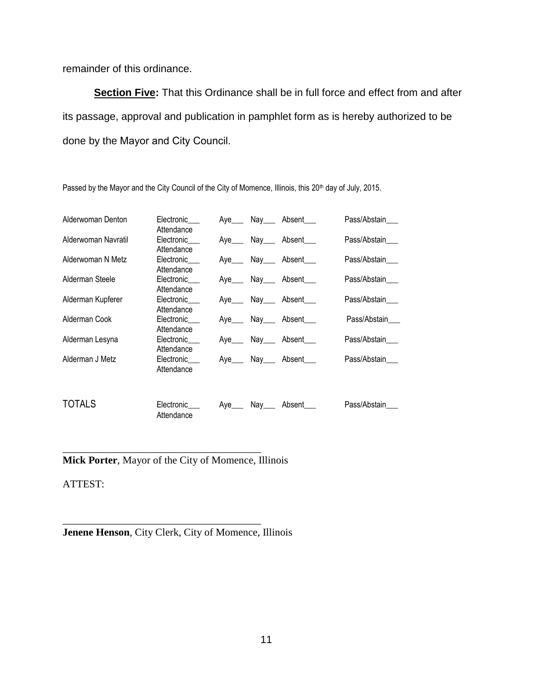remainder of this ordinance.

**Section Five:** That this Ordinance shall be in full force and effect from and after its passage, approval and publication in pamphlet form as is hereby authorized to be done by the Mayor and City Council.

| Alderwoman Denton   | Electronic<br>Attendance | $Aye$ Nay $\_\_$ |                          | Absent                     | Pass/Abstain |
|---------------------|--------------------------|------------------|--------------------------|----------------------------|--------------|
| Alderwoman Navratil | Electronic<br>Attendance | Ave              | Nay $\rule{1em}{0.15mm}$ | Absent                     | Pass/Abstain |
| Alderwoman N Metz   | Electronic<br>Attendance |                  |                          | Aye Nay Absent             | Pass/Abstain |
| Alderman Steele     | Electronic<br>Attendance |                  |                          | Aye____ Nay____ Absent____ | Pass/Abstain |
| Alderman Kupferer   | Electronic<br>Attendance |                  |                          | Aye____ Nay____ Absent____ | Pass/Abstain |
| Alderman Cook       | Electronic<br>Attendance |                  |                          | Aye Nay Absent             | Pass/Abstain |
| Alderman Lesyna     | Electronic<br>Attendance | Ave              | Nay___                   | Absent                     | Pass/Abstain |
| Alderman J Metz     | Electronic<br>Attendance |                  |                          | Aye Nay Absent             | Pass/Abstain |
| TOTALS              | Electronic<br>Attendance | Ave              | Nav                      | Absent                     | Pass/Abstain |

Passed by the Mayor and the City Council of the City of Momence, Illinois, this 20<sup>th</sup> day of July, 2015.

\_\_\_\_\_\_\_\_\_\_\_\_\_\_\_\_\_\_\_\_\_\_\_\_\_\_\_\_\_\_\_\_\_\_\_\_\_\_ **Mick Porter**, Mayor of the City of Momence, Illinois

ATTEST:

\_\_\_\_\_\_\_\_\_\_\_\_\_\_\_\_\_\_\_\_\_\_\_\_\_\_\_\_\_\_\_\_\_\_\_\_\_\_ **Jenene Henson**, City Clerk, City of Momence, Illinois